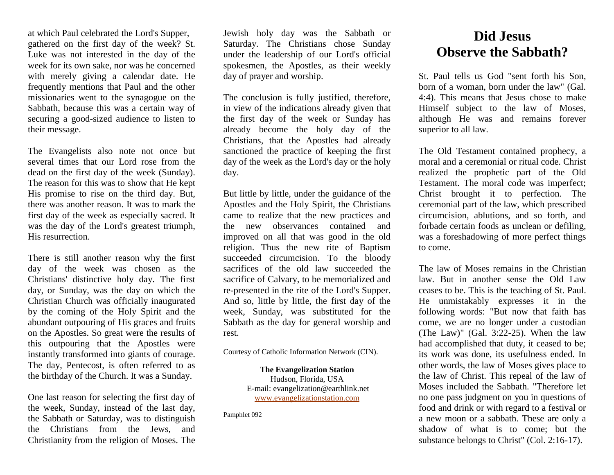at which Paul celebrated the Lord's Supper, gathered on the first day of the week? St. Luke was not interested in the day of the week for its own sake, nor was he concerned with merely giving a calendar date. He frequently mentions that Paul and the other missionaries went to the synagogue on the Sabbath, because this was a certain way of securing a good-sized audience to listen to their message.

The Evangelists also note not once but several times that our Lord rose from the dead on the first day of the week (Sunday). The reason for this was to show that He kept His promise to rise on the third day. But, there was another reason. It was to mark the first day of the week as especially sacred. It was the day of the Lord's greatest triumph, His resurrection.

There is still another reason why the first day of the week was chosen as the Christians' distinctive holy day. The first day, or Sunday, was the day on which the Christian Church was officially inaugurated by the coming of the Holy Spirit and the abundant outpouring of His graces and fruits on the Apostles. So great were the results of this outpouring that the Apostles were instantly transformed into giants of courage. The day, Pentecost, is often referred to as the birthday of the Church. It was a Sunday.

One last reason for selecting the first day of the week, Sunday, instead of the last day, the Sabbath or Saturday, was to distinguish the Christians from the Jews, and Christianity from the religion of Moses. The

Jewish holy day was the Sabbath or Saturday. The Christians chose Sunday under the leadership of our Lord's official spokesmen, the Apostles, as their weekly day of prayer and worship.

The conclusion is fully justified, therefore, in view of the indications already given that the first day of the week or Sunday has already become the holy day of the Christians, that the Apostles had already sanctioned the practice of keeping the first day of the week as the Lord's day or the holy day.

But little by little, under the guidance of the Apostles and the Holy Spirit, the Christians came to realize that the new practices and the new observances contained and improved on all that was good in the old religion. Thus the new rite of Baptism succeeded circumcision. To the bloody sacrifices of the old law succeeded the sacrifice of Calvary, to be memorialized and re-presented in the rite of the Lord's Supper. And so, little by little, the first day of the week, Sunday, was substituted for the Sabbath as the day for general worship and rest.

Courtesy of Catholic Information Network (CIN).

**The Evangelization Station** Hudson, Florida, USA E-mail: evangelization@earthlink.net [www.evangelizationstation.com](http://www.pjpiisoe.org/)

Pamphlet 092

## **Did Jesus Observe the Sabbath?**

St. Paul tells us God "sent forth his Son, born of a woman, born under the law" (Gal. 4:4). This means that Jesus chose to make Himself subject to the law of Moses, although He was and remains forever superior to all law.

The Old Testament contained prophecy, a moral and a ceremonial or ritual code. Christ realized the prophetic part of the Old Testament. The moral code was imperfect; Christ brought it to perfection. The ceremonial part of the law, which prescribed circumcision, ablutions, and so forth, and forbade certain foods as unclean or defiling, was a foreshadowing of more perfect things to come.

The law of Moses remains in the Christian law. But in another sense the Old Law ceases to be. This is the teaching of St. Paul. He unmistakably expresses it in the following words: "But now that faith has come, we are no longer under a custodian (The Law)" (Gal. 3:22-25). When the law had accomplished that duty, it ceased to be; its work was done, its usefulness ended. In other words, the law of Moses gives place to the law of Christ. This repeal of the law of Moses included the Sabbath. "Therefore let no one pass judgment on you in questions of food and drink or with regard to a festival or a new moon or a sabbath. These are only a shadow of what is to come; but the substance belongs to Christ" (Col. 2:16-17).